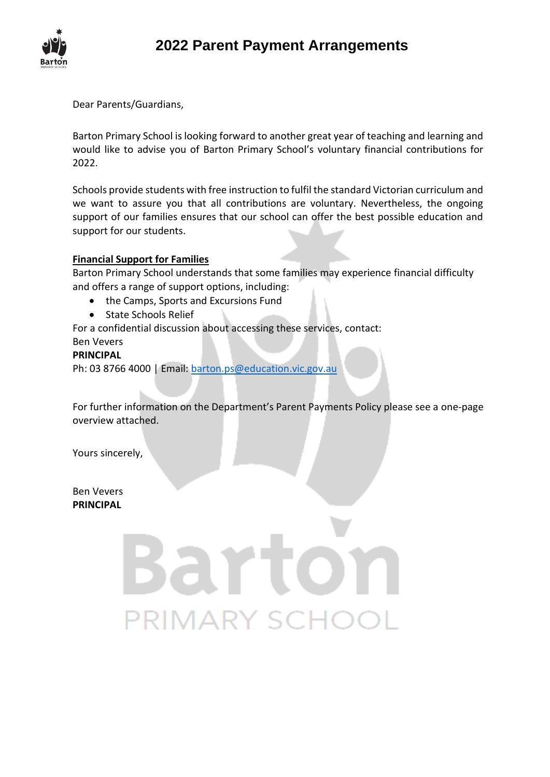

Dear Parents/Guardians,

Barton Primary School is looking forward to another great year of teaching and learning and would like to advise you of Barton Primary School's voluntary financial contributions for 2022.

Schools provide students with free instruction to fulfil the standard Victorian curriculum and we want to assure you that all contributions are voluntary. Nevertheless, the ongoing support of our families ensures that our school can offer the best possible education and support for our students.

### **Financial Support for Families**

Barton Primary School understands that some families may experience financial difficulty and offers a range of support options, including:

- the Camps, Sports and Excursions Fund
- State Schools Relief

For a confidential discussion about accessing these services, contact:

# Ben Vevers

# **PRINCIPAL**

Ph: 03 8766 4000 | Email: [barton.ps@education.vic.gov.au](mailto:barton.ps@education.vic.gov.au)

PRIMARY SCI

For further information on the Department's Parent Payments Policy please see a one-page overview attached.

Yours sincerely,

Ben Vevers **PRINCIPAL**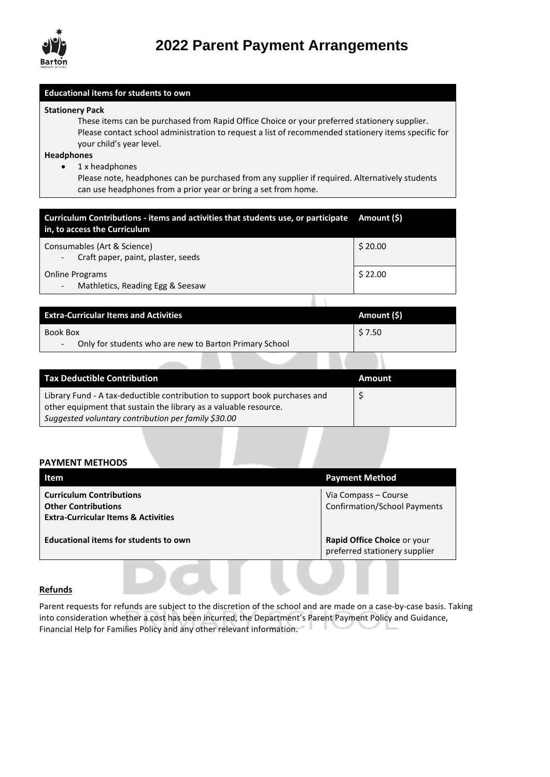

# **2022 Parent Payment Arrangements**

#### **Educational items for students to own**

#### **Stationery Pack**

These items can be purchased from Rapid Office Choice or your preferred stationery supplier. Please contact school administration to request a list of recommended stationery items specific for your child's year level.

#### **Headphones**

• 1 x headphones

Please note, headphones can be purchased from any supplier if required. Alternatively students can use headphones from a prior year or bring a set from home.

| Curriculum Contributions - items and activities that students use, or participate Amount (\$)<br>in, to access the Curriculum |         |
|-------------------------------------------------------------------------------------------------------------------------------|---------|
| Consumables (Art & Science)<br>Craft paper, paint, plaster, seeds<br>$\overline{\phantom{a}}$                                 | \$20.00 |
| <b>Online Programs</b><br>Mathletics, Reading Egg & Seesaw<br>$\overline{\phantom{a}}$                                        | \$22.00 |
|                                                                                                                               |         |

| <b>Extra-Curricular Items and Activities</b>                     | Amount (\$) |
|------------------------------------------------------------------|-------------|
| Book Box                                                         | \$ 7.50     |
| Only for students who are new to Barton Primary School<br>$\sim$ |             |

| <b>Tax Deductible Contribution</b>                                                                                                             | Amount |
|------------------------------------------------------------------------------------------------------------------------------------------------|--------|
| Library Fund - A tax-deductible contribution to support book purchases and<br>other equipment that sustain the library as a valuable resource. |        |
| Suggested voluntary contribution per family \$30.00                                                                                            |        |

#### **PAYMENT METHODS**

| Item                                                                                                            | <b>Payment Method</b>                                        |
|-----------------------------------------------------------------------------------------------------------------|--------------------------------------------------------------|
| <b>Curriculum Contributions</b><br><b>Other Contributions</b><br><b>Extra-Curricular Items &amp; Activities</b> | Via Compass – Course<br><b>Confirmation/School Payments</b>  |
| <b>Educational items for students to own</b>                                                                    | Rapid Office Choice or your<br>preferred stationery supplier |
|                                                                                                                 |                                                              |

#### **Refunds**

Parent requests for refunds are subject to the discretion of the school and are made on a case-by-case basis. Taking into consideration whether a cost has been incurred, the Department's Parent Payment Policy and Guidance, Financial Help for Families Policy and any other relevant information.